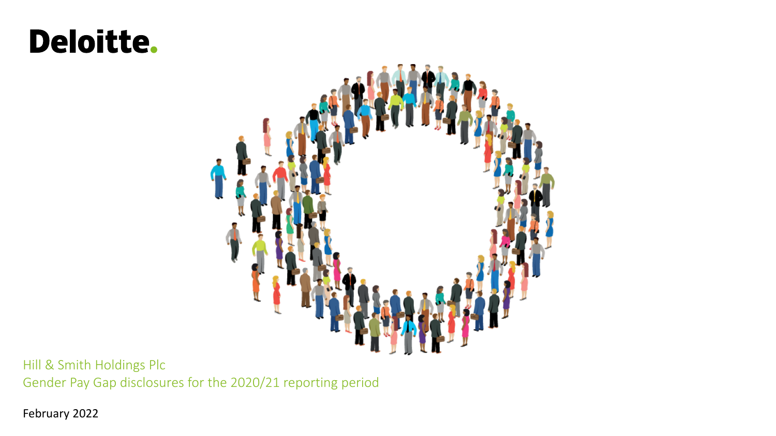# Deloitte.



Hill & Smith Holdings Plc Gender Pay Gap disclosures for the 2020/21 reporting period

February 2022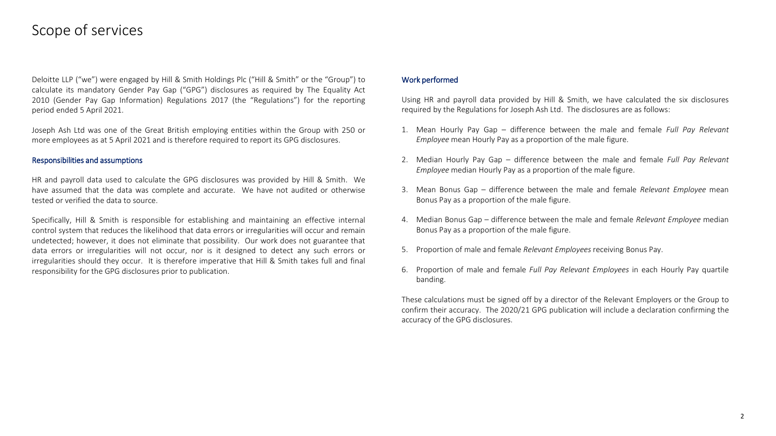#### Scope of services

Deloitte LLP ("we") were engaged by Hill & Smith Holdings Plc ("Hill & Smith" or the "Group") to calculate its mandatory Gender Pay Gap ("GPG") disclosures as required by The Equality Act 2010 (Gender Pay Gap Information) Regulations 2017 (the "Regulations") for the reporting period ended 5 April 2021.

Joseph Ash Ltd was one of the Great British employing entities within the Group with 250 or more employees as at 5 April 2021 and is therefore required to report its GPG disclosures.

#### Responsibilities and assumptions

HR and payroll data used to calculate the GPG disclosures was provided by Hill & Smith. We have assumed that the data was complete and accurate. We have not audited or otherwise tested or verified the data to source.

Specifically, Hill & Smith is responsible for establishing and maintaining an effective internal control system that reduces the likelihood that data errors or irregularities will occur and remain undetected; however, it does not eliminate that possibility. Our work does not guarantee that data errors or irregularities will not occur, nor is it designed to detect any such errors or irregularities should they occur. It is therefore imperative that Hill & Smith takes full and final responsibility for the GPG disclosures prior to publication.

#### Work performed

Using HR and payroll data provided by Hill & Smith, we have calculated the six disclosures required by the Regulations for Joseph Ash Ltd. The disclosures are as follows:

- 1. Mean Hourly Pay Gap difference between the male and female *Full Pay Relevant Employee* mean Hourly Pay as a proportion of the male figure.
- 2. Median Hourly Pay Gap difference between the male and female *Full Pay Relevant Employee* median Hourly Pay as a proportion of the male figure.
- 3. Mean Bonus Gap difference between the male and female *Relevant Employee* mean Bonus Pay as a proportion of the male figure.
- 4. Median Bonus Gap difference between the male and female *Relevant Employee* median Bonus Pay as a proportion of the male figure.
- 5. Proportion of male and female *Relevant Employees* receiving Bonus Pay.
- 6. Proportion of male and female *Full Pay Relevant Employees* in each Hourly Pay quartile banding.

These calculations must be signed off by a director of the Relevant Employers or the Group to confirm their accuracy. The 2020/21 GPG publication will include a declaration confirming the accuracy of the GPG disclosures.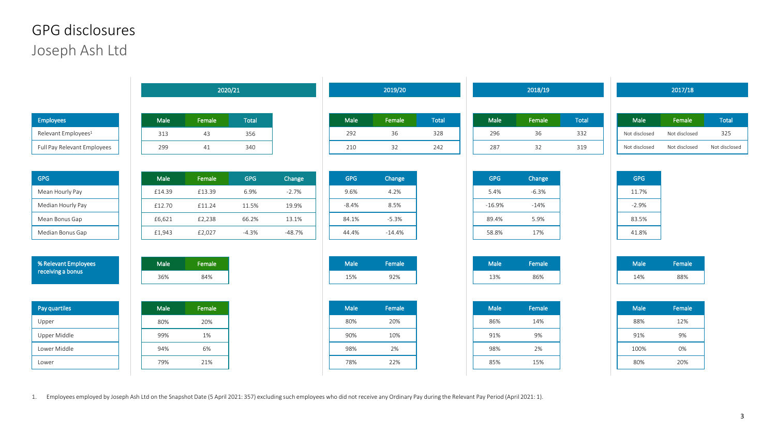### Joseph Ash Ltd GPG disclosures

|                                 | 2020/21 |        |            | 2019/20  |         |          | 2018/19      |            |         | 2017/18 |               |               |  |
|---------------------------------|---------|--------|------------|----------|---------|----------|--------------|------------|---------|---------|---------------|---------------|--|
|                                 |         |        |            |          |         |          |              |            |         |         |               |               |  |
| Employees                       | Male    | Female | Total      |          | Male    | Female   | <b>Total</b> | Male       | Female  | Total   | Male          | Female        |  |
| Relevant Employees <sup>1</sup> | 313     | 43     | 356        |          | 292     | 36       | 328          | 296        | 36      | 332     | Not disclosed | Not disclosed |  |
| Full Pay Relevant Employees     | 299     | 41     | 340        |          | 210     | 32       | 242          | 287        | 32      | 319     | Not disclosed | Not disclosed |  |
| <b>GPG</b>                      | Male    | Female | <b>GPG</b> | Change   | GPG     | Change   |              | <b>GPG</b> | Change  |         | GPG           |               |  |
| Mean Hourly Pay                 | £14.39  | £13.39 | 6.9%       | $-2.7%$  | 9.6%    | 4.2%     |              | 5.4%       | $-6.3%$ |         | 11.7%         |               |  |
| Median Hourly Pay               | £12.70  | £11.24 | 11.5%      | 19.9%    | $-8.4%$ | 8.5%     |              | $-16.9%$   | $-14%$  |         | $-2.9%$       |               |  |
| Mean Bonus Gap                  | £6,621  | £2,238 | 66.2%      | 13.1%    | 84.1%   | $-5.3%$  |              | 89.4%      | 5.9%    |         | 83.5%         |               |  |
| Median Bonus Gap                | £1,943  | £2,027 | $-4.3%$    | $-48.7%$ | 44.4%   | $-14.4%$ |              | 58.8%      | 17%     |         | 41.8%         |               |  |
| % Relevant Employees            | Male    | Female |            |          | Male    | Female   |              | Male       | Female  |         | Male          | Female        |  |
| receiving a bonus               | 36%     | 84%    |            |          | 15%     | 92%      |              | 13%        | 86%     |         | 14%           | 88%           |  |
| Pay quartiles                   | Male    | Female |            |          | Male    | Female   |              | Male       | Female  |         | Male          | Female        |  |
| Upper                           | 80%     | 20%    |            |          | 80%     | 20%      |              | 86%        | 14%     |         | 88%           | 12%           |  |
| Upper Middle                    | 99%     | 1%     |            |          | 90%     | 10%      |              | 91%        | 9%      |         | 91%           | 9%            |  |
| Lower Middle                    | 94%     | 6%     |            |          | 98%     | 2%       |              | 98%        | 2%      |         | 100%          | 0%            |  |
| Lower                           | 79%     | 21%    |            |          | 78%     | 22%      |              | 85%        | 15%     |         | 80%           | 20%           |  |

1. Employees employed by Joseph Ash Ltd on the Snapshot Date (5 April 2021: 357) excluding such employees who did not receive any Ordinary Pay during the Relevant Pay Period (April 2021: 1).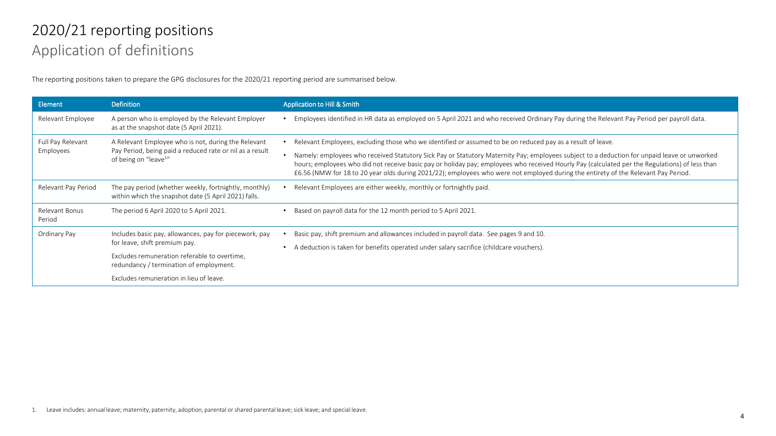## Application of definitions 2020/21 reporting positions

The reporting positions taken to prepare the GPG disclosures for the 2020/21 reporting period are summarised below.

| Element                        | <b>Definition</b>                                                                                             | Application to Hill & Smith                                                                                                                                                                                                                                                                                                                                                                                                         |  |  |  |  |  |
|--------------------------------|---------------------------------------------------------------------------------------------------------------|-------------------------------------------------------------------------------------------------------------------------------------------------------------------------------------------------------------------------------------------------------------------------------------------------------------------------------------------------------------------------------------------------------------------------------------|--|--|--|--|--|
| Relevant Employee              | A person who is employed by the Relevant Employer<br>as at the snapshot date (5 April 2021).                  | Employees identified in HR data as employed on 5 April 2021 and who received Ordinary Pay during the Relevant Pay Period per payroll data.                                                                                                                                                                                                                                                                                          |  |  |  |  |  |
| Full Pay Relevant<br>Employees | A Relevant Employee who is not, during the Relevant                                                           | Relevant Employees, excluding those who we identified or assumed to be on reduced pay as a result of leave.                                                                                                                                                                                                                                                                                                                         |  |  |  |  |  |
|                                | Pay Period, being paid a reduced rate or nil as a result<br>of being on "leave <sup>1"</sup>                  | Namely: employees who received Statutory Sick Pay or Statutory Maternity Pay; employees subject to a deduction for unpaid leave or unworked<br>hours; employees who did not receive basic pay or holiday pay; employees who received Hourly Pay (calculated per the Regulations) of less than<br>£6.56 (NMW for 18 to 20 year olds during 2021/22); employees who were not employed during the entirety of the Relevant Pay Period. |  |  |  |  |  |
| Relevant Pay Period            | The pay period (whether weekly, fortnightly, monthly)<br>within which the snapshot date (5 April 2021) falls. | Relevant Employees are either weekly, monthly or fortnightly paid.                                                                                                                                                                                                                                                                                                                                                                  |  |  |  |  |  |
| Relevant Bonus<br>Period       | The period 6 April 2020 to 5 April 2021.                                                                      | Based on payroll data for the 12 month period to 5 April 2021.                                                                                                                                                                                                                                                                                                                                                                      |  |  |  |  |  |
| Ordinary Pay                   | Includes basic pay, allowances, pay for piecework, pay                                                        | Basic pay, shift premium and allowances included in payroll data. See pages 9 and 10.                                                                                                                                                                                                                                                                                                                                               |  |  |  |  |  |
|                                | for leave, shift premium pay.                                                                                 | A deduction is taken for benefits operated under salary sacrifice (childcare vouchers).                                                                                                                                                                                                                                                                                                                                             |  |  |  |  |  |
|                                | Excludes remuneration referable to overtime,<br>redundancy / termination of employment.                       |                                                                                                                                                                                                                                                                                                                                                                                                                                     |  |  |  |  |  |
|                                | Excludes remuneration in lieu of leave.                                                                       |                                                                                                                                                                                                                                                                                                                                                                                                                                     |  |  |  |  |  |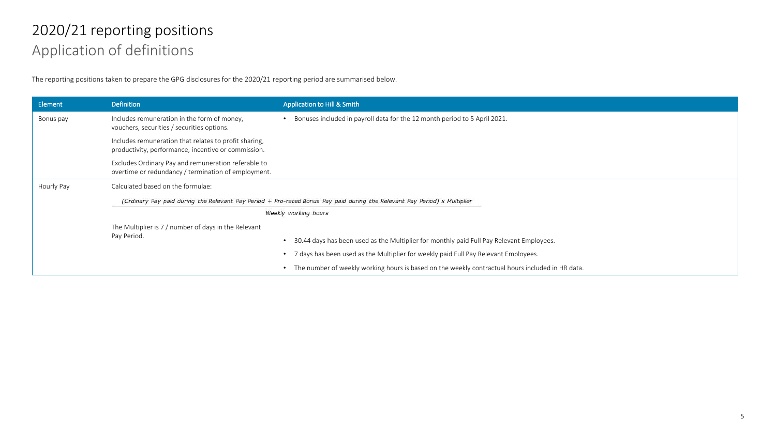## Application of definitions 2020/21 reporting positions

The reporting positions taken to prepare the GPG disclosures for the 2020/21 reporting period are summarised below.

| Element    | <b>Definition</b>                                                                                                         | <b>Application to Hill &amp; Smith</b>                                                           |  |  |  |  |  |
|------------|---------------------------------------------------------------------------------------------------------------------------|--------------------------------------------------------------------------------------------------|--|--|--|--|--|
| Bonus pay  | Includes remuneration in the form of money,<br>vouchers, securities / securities options.                                 | Bonuses included in payroll data for the 12 month period to 5 April 2021.                        |  |  |  |  |  |
|            | Includes remuneration that relates to profit sharing,<br>productivity, performance, incentive or commission.              |                                                                                                  |  |  |  |  |  |
|            | Excludes Ordinary Pay and remuneration referable to<br>overtime or redundancy / termination of employment.                |                                                                                                  |  |  |  |  |  |
| Hourly Pay | Calculated based on the formulae:                                                                                         |                                                                                                  |  |  |  |  |  |
|            | (Ordinary Pay paid during the Relevant Pay Period + Pro-rated Bonus Pay paid during the Relevant Pay Period) x Multiplier |                                                                                                  |  |  |  |  |  |
|            |                                                                                                                           | Weekly working hours                                                                             |  |  |  |  |  |
|            | The Multiplier is 7 / number of days in the Relevant                                                                      |                                                                                                  |  |  |  |  |  |
|            | Pay Period.                                                                                                               | 30.44 days has been used as the Multiplier for monthly paid Full Pay Relevant Employees.         |  |  |  |  |  |
|            |                                                                                                                           | • 7 days has been used as the Multiplier for weekly paid Full Pay Relevant Employees.            |  |  |  |  |  |
|            |                                                                                                                           | The number of weekly working hours is based on the weekly contractual hours included in HR data. |  |  |  |  |  |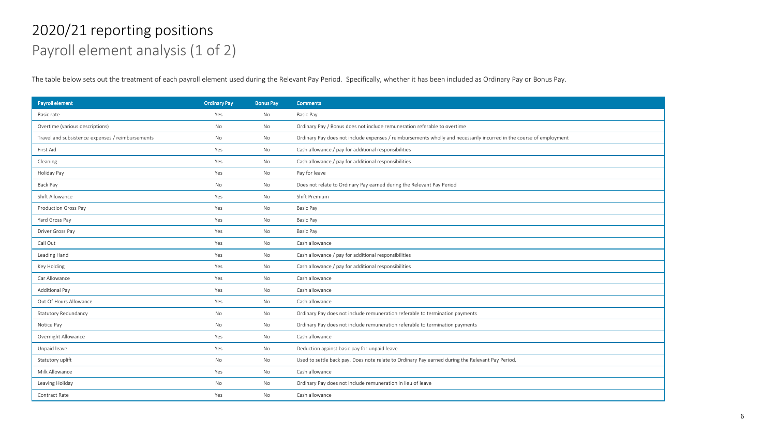### Payroll element analysis (1 of 2) 2020/21 reporting positions

The table below sets out the treatment of each payroll element used during the Relevant Pay Period. Specifically, whether it has been included as Ordinary Pay or Bonus Pay.

| <b>Payroll element</b>                           | <b>Ordinary Pay</b> | <b>Bonus Pay</b> | <b>Comments</b>                                                                                                     |
|--------------------------------------------------|---------------------|------------------|---------------------------------------------------------------------------------------------------------------------|
| Basic rate                                       | Yes                 | No               | Basic Pay                                                                                                           |
| Overtime (various descriptions)                  | No                  | No               | Ordinary Pay / Bonus does not include remuneration referable to overtime                                            |
| Travel and subsistence expenses / reimbursements | No                  | No               | Ordinary Pay does not include expenses / reimbursements wholly and necessarily incurred in the course of employment |
| First Aid                                        | Yes                 | No               | Cash allowance / pay for additional responsibilities                                                                |
| Cleaning                                         | Yes                 | No               | Cash allowance / pay for additional responsibilities                                                                |
| Holiday Pay                                      | Yes                 | No               | Pay for leave                                                                                                       |
| Back Pay                                         | No                  | No               | Does not relate to Ordinary Pay earned during the Relevant Pay Period                                               |
| Shift Allowance                                  | Yes                 | No               | Shift Premium                                                                                                       |
| Production Gross Pay                             | Yes                 | No               | Basic Pay                                                                                                           |
| Yard Gross Pay                                   | Yes                 | No               | Basic Pay                                                                                                           |
| Driver Gross Pay                                 | Yes                 | No               | Basic Pay                                                                                                           |
| Call Out                                         | Yes                 | No               | Cash allowance                                                                                                      |
| Leading Hand                                     | Yes                 | No               | Cash allowance / pay for additional responsibilities                                                                |
| Key Holding                                      | Yes                 | No               | Cash allowance / pay for additional responsibilities                                                                |
| Car Allowance                                    | Yes                 | No               | Cash allowance                                                                                                      |
| <b>Additional Pay</b>                            | Yes                 | No               | Cash allowance                                                                                                      |
| Out Of Hours Allowance                           | Yes                 | No               | Cash allowance                                                                                                      |
| <b>Statutory Redundancy</b>                      | No                  | No               | Ordinary Pay does not include remuneration referable to termination payments                                        |
| Notice Pay                                       | No                  | No               | Ordinary Pay does not include remuneration referable to termination payments                                        |
| Overnight Allowance                              | Yes                 | No               | Cash allowance                                                                                                      |
| Unpaid leave                                     | Yes                 | No               | Deduction against basic pay for unpaid leave                                                                        |
| Statutory uplift                                 | No                  | No               | Used to settle back pay. Does note relate to Ordinary Pay earned during the Relevant Pay Period.                    |
| Milk Allowance                                   | Yes                 | No               | Cash allowance                                                                                                      |
| Leaving Holiday                                  | No                  | No               | Ordinary Pay does not include remuneration in lieu of leave                                                         |
| Contract Rate                                    | Yes                 | No               | Cash allowance                                                                                                      |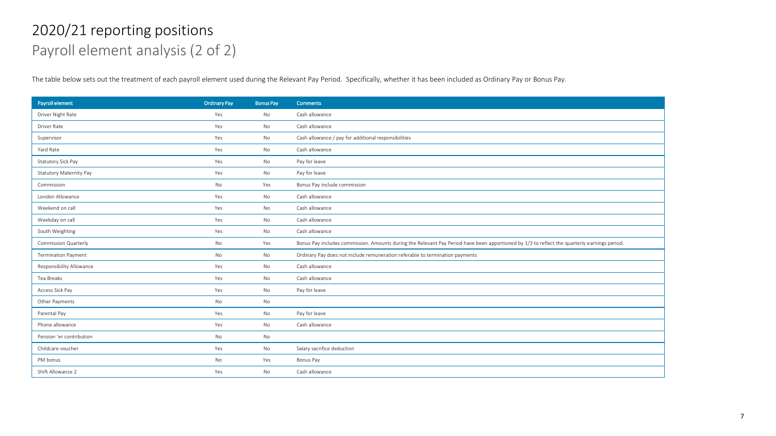### Payroll element analysis (2 of 2) 2020/21 reporting positions

The table below sets out the treatment of each payroll element used during the Relevant Pay Period. Specifically, whether it has been included as Ordinary Pay or Bonus Pay.

| Payroll element                | <b>Ordinary Pay</b> | <b>Bonus Pay</b> | <b>Comments</b>                                                                                                                              |
|--------------------------------|---------------------|------------------|----------------------------------------------------------------------------------------------------------------------------------------------|
| Driver Night Rate              | Yes                 | No               | Cash allowance                                                                                                                               |
| Driver Rate                    | Yes                 | No               | Cash allowance                                                                                                                               |
| Supervisor                     | Yes                 | No               | Cash allowance / pay for additional responsibilities                                                                                         |
| Yard Rate                      | Yes                 | No               | Cash allowance                                                                                                                               |
| Statutory Sick Pay             | Yes                 | No               | Pay for leave                                                                                                                                |
| <b>Statutory Maternity Pay</b> | Yes                 | No               | Pay for leave                                                                                                                                |
| Commission                     | No                  | Yes              | Bonus Pay include commission                                                                                                                 |
| London Allowance               | Yes                 | No               | Cash allowance                                                                                                                               |
| Weekend on call                | Yes                 | No               | Cash allowance                                                                                                                               |
| Weekday on call                | Yes                 | No               | Cash allowance                                                                                                                               |
| South Weighting                | Yes                 | No               | Cash allowance                                                                                                                               |
| Commission Quarterly           | No                  | Yes              | Bonus Pay includes commission. Amounts during the Relevant Pay Period have been apportioned by 1/3 to reflect the quarterly earnings period. |
| <b>Termination Payment</b>     | No                  | No               | Ordinary Pay does not include remuneration referable to termination payments                                                                 |
| Responsibility Allowance       | Yes                 | No               | Cash allowance                                                                                                                               |
| Tea Breaks                     | Yes                 | No               | Cash allowance                                                                                                                               |
| Access Sick Pay                | Yes                 | No               | Pay for leave                                                                                                                                |
| Other Payments                 | No                  | No               |                                                                                                                                              |
| Parental Pay                   | Yes                 | No               | Pay for leave                                                                                                                                |
| Phone allowance                | Yes                 | No               | Cash allowance                                                                                                                               |
| Pension 'er contribution       | No                  | No               |                                                                                                                                              |
| Childcare voucher              | Yes                 | No               | Salary sacrifice deduction                                                                                                                   |
| PM bonus                       | No                  | Yes              | Bonus Pay                                                                                                                                    |
| Shift Allowance 2              | Yes                 | No               | Cash allowance                                                                                                                               |